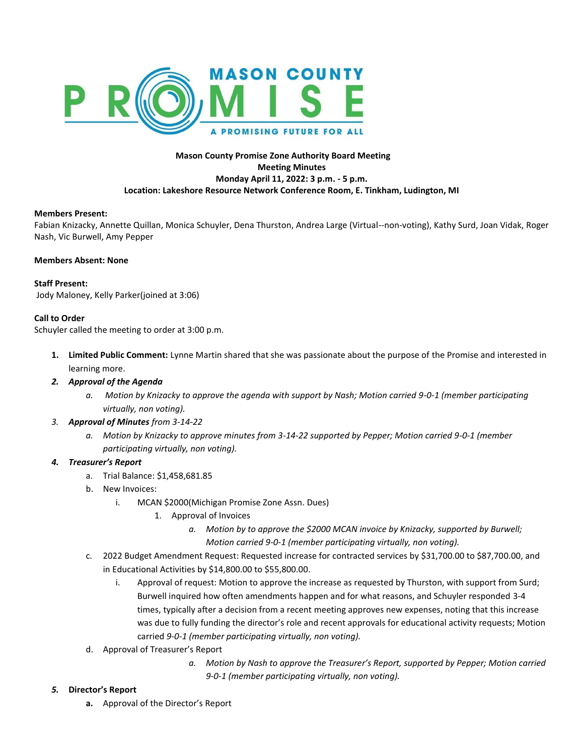

# **Mason County Promise Zone Authority Board Meeting Meeting Minutes Monday April 11, 2022: 3 p.m. - 5 p.m. Location: Lakeshore Resource Network Conference Room, E. Tinkham, Ludington, MI**

### **Members Present:**

Fabian Knizacky, Annette Quillan, Monica Schuyler, Dena Thurston, Andrea Large (Virtual--non-voting), Kathy Surd, Joan Vidak, Roger Nash, Vic Burwell, Amy Pepper

#### **Members Absent: None**

### **Staff Present:**

Jody Maloney, Kelly Parker(joined at 3:06)

### **Call to Order**

Schuyler called the meeting to order at 3:00 p.m.

- **1. Limited Public Comment:** Lynne Martin shared that she was passionate about the purpose of the Promise and interested in learning more.
- *2. Approval of the Agenda*
	- *a. Motion by Knizacky to approve the agenda with support by Nash; Motion carried 9-0-1 (member participating virtually, non voting).*
- *3. Approval of Minutes from 3-14-22*
	- *a. Motion by Knizacky to approve minutes from 3-14-22 supported by Pepper; Motion carried 9-0-1 (member participating virtually, non voting).*

## *4. Treasurer's Report*

- a. Trial Balance: \$1,458,681.85
- b. New Invoices:
	- i. MCAN \$2000(Michigan Promise Zone Assn. Dues)
		- 1. Approval of Invoices
			- *a. Motion by to approve the \$2000 MCAN invoice by Knizacky, supported by Burwell; Motion carried 9-0-1 (member participating virtually, non voting).*
- c. 2022 Budget Amendment Request: Requested increase for contracted services by \$31,700.00 to \$87,700.00, and in Educational Activities by \$14,800.00 to \$55,800.00.
	- i. Approval of request: Motion to approve the increase as requested by Thurston, with support from Surd; Burwell inquired how often amendments happen and for what reasons, and Schuyler responded 3-4 times, typically after a decision from a recent meeting approves new expenses, noting that this increase was due to fully funding the director's role and recent approvals for educational activity requests; Motion carried *9-0-1 (member participating virtually, non voting).*
- d. Approval of Treasurer's Report
	- *a. Motion by Nash to approve the Treasurer's Report, supported by Pepper; Motion carried 9-0-1 (member participating virtually, non voting).*

### *5.* **Director's Report**

**a.** Approval of the Director's Report